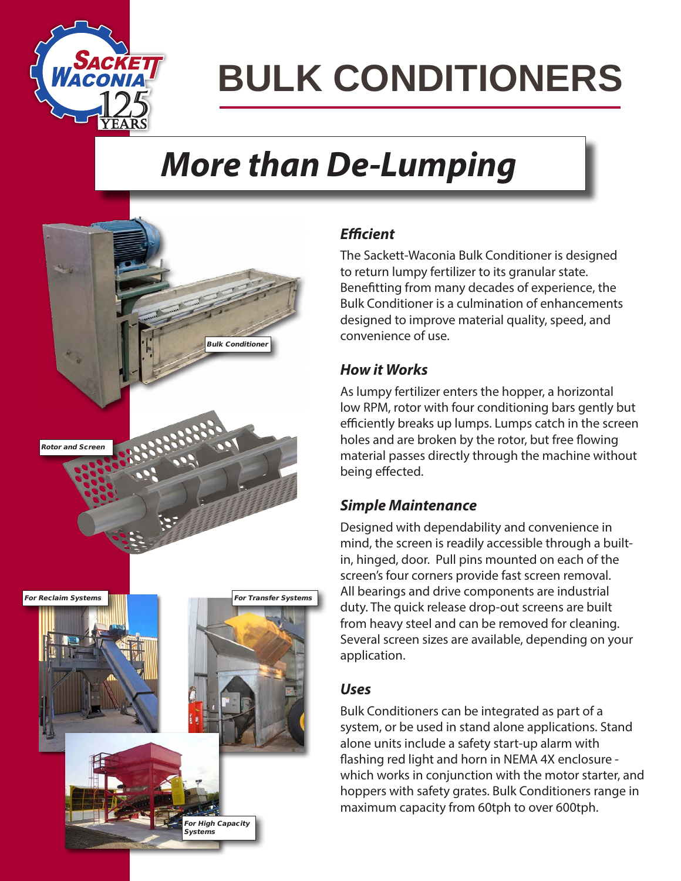

# **BULK CONDITIONERS**

### *More than De-Lumping*



### *Efficient*

The Sackett-Waconia Bulk Conditioner is designed to return lumpy fertilizer to its granular state. Benefitting from many decades of experience, the Bulk Conditioner is a culmination of enhancements designed to improve material quality, speed, and convenience of use.

### *How it Works*

As lumpy fertilizer enters the hopper, a horizontal low RPM, rotor with four conditioning bars gently but efficiently breaks up lumps. Lumps catch in the screen holes and are broken by the rotor, but free flowing material passes directly through the machine without being effected.

### *Simple Maintenance*

Designed with dependability and convenience in mind, the screen is readily accessible through a builtin, hinged, door. Pull pins mounted on each of the screen's four corners provide fast screen removal. All bearings and drive components are industrial duty. The quick release drop-out screens are built from heavy steel and can be removed for cleaning. Several screen sizes are available, depending on your application.

### *Uses*

Bulk Conditioners can be integrated as part of a system, or be used in stand alone applications. Stand alone units include a safety start-up alarm with flashing red light and horn in NEMA 4X enclosure which works in conjunction with the motor starter, and hoppers with safety grates. Bulk Conditioners range in maximum capacity from 60tph to over 600tph.